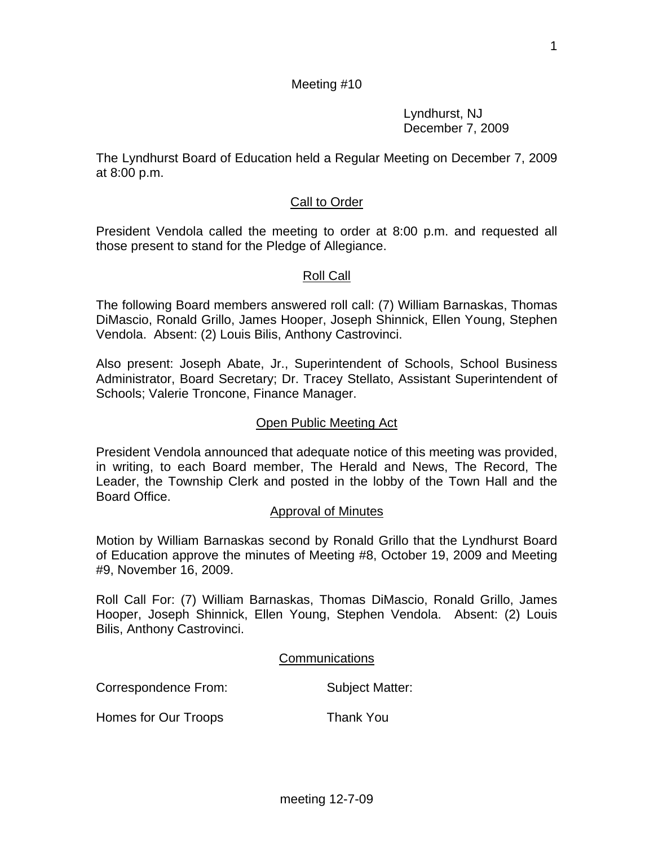Lyndhurst, NJ December 7, 2009

The Lyndhurst Board of Education held a Regular Meeting on December 7, 2009 at 8:00 p.m.

# Call to Order

President Vendola called the meeting to order at 8:00 p.m. and requested all those present to stand for the Pledge of Allegiance.

## Roll Call

The following Board members answered roll call: (7) William Barnaskas, Thomas DiMascio, Ronald Grillo, James Hooper, Joseph Shinnick, Ellen Young, Stephen Vendola. Absent: (2) Louis Bilis, Anthony Castrovinci.

Also present: Joseph Abate, Jr., Superintendent of Schools, School Business Administrator, Board Secretary; Dr. Tracey Stellato, Assistant Superintendent of Schools; Valerie Troncone, Finance Manager.

### Open Public Meeting Act

President Vendola announced that adequate notice of this meeting was provided, in writing, to each Board member, The Herald and News, The Record, The Leader, the Township Clerk and posted in the lobby of the Town Hall and the Board Office.

#### Approval of Minutes

Motion by William Barnaskas second by Ronald Grillo that the Lyndhurst Board of Education approve the minutes of Meeting #8, October 19, 2009 and Meeting #9, November 16, 2009.

Roll Call For: (7) William Barnaskas, Thomas DiMascio, Ronald Grillo, James Hooper, Joseph Shinnick, Ellen Young, Stephen Vendola. Absent: (2) Louis Bilis, Anthony Castrovinci.

Communications

Correspondence From: Subject Matter:

Homes for Our Troops Thank You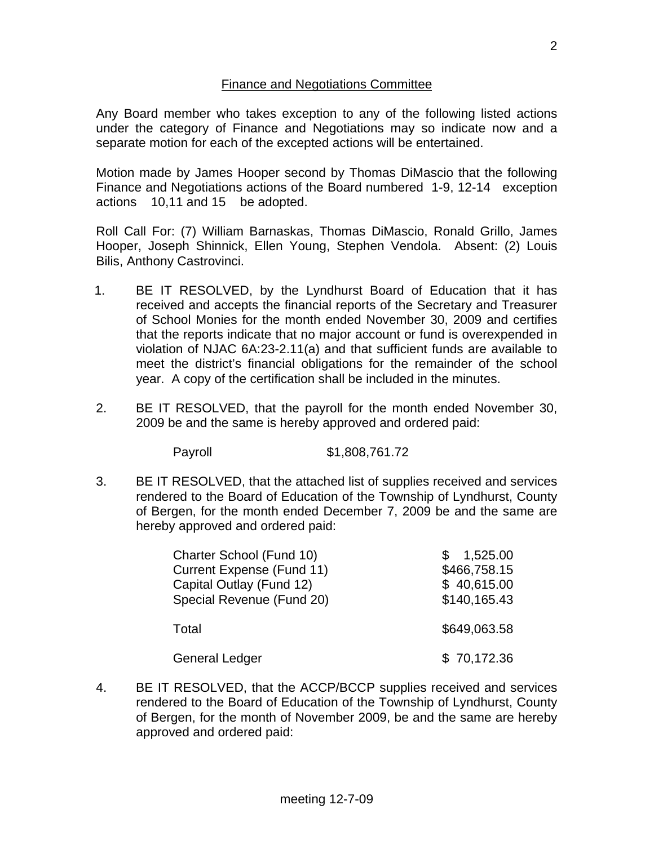## Finance and Negotiations Committee

Any Board member who takes exception to any of the following listed actions under the category of Finance and Negotiations may so indicate now and a separate motion for each of the excepted actions will be entertained.

Motion made by James Hooper second by Thomas DiMascio that the following Finance and Negotiations actions of the Board numbered 1-9, 12-14 exception actions 10,11 and 15 be adopted.

Roll Call For: (7) William Barnaskas, Thomas DiMascio, Ronald Grillo, James Hooper, Joseph Shinnick, Ellen Young, Stephen Vendola. Absent: (2) Louis Bilis, Anthony Castrovinci.

- 1. BE IT RESOLVED, by the Lyndhurst Board of Education that it has received and accepts the financial reports of the Secretary and Treasurer of School Monies for the month ended November 30, 2009 and certifies that the reports indicate that no major account or fund is overexpended in violation of NJAC 6A:23-2.11(a) and that sufficient funds are available to meet the district's financial obligations for the remainder of the school year. A copy of the certification shall be included in the minutes.
- 2. BE IT RESOLVED, that the payroll for the month ended November 30, 2009 be and the same is hereby approved and ordered paid:

Payroll \$1,808,761.72

3. BE IT RESOLVED, that the attached list of supplies received and services rendered to the Board of Education of the Township of Lyndhurst, County of Bergen, for the month ended December 7, 2009 be and the same are hereby approved and ordered paid:

| Charter School (Fund 10)<br><b>Current Expense (Fund 11)</b><br>Capital Outlay (Fund 12)<br>Special Revenue (Fund 20) | 1,525.00<br>\$466,758.15<br>\$40,615.00<br>\$140,165.43 |
|-----------------------------------------------------------------------------------------------------------------------|---------------------------------------------------------|
| Total                                                                                                                 | \$649,063.58                                            |
| <b>General Ledger</b>                                                                                                 | \$70,172.36                                             |

4. BE IT RESOLVED, that the ACCP/BCCP supplies received and services rendered to the Board of Education of the Township of Lyndhurst, County of Bergen, for the month of November 2009, be and the same are hereby approved and ordered paid: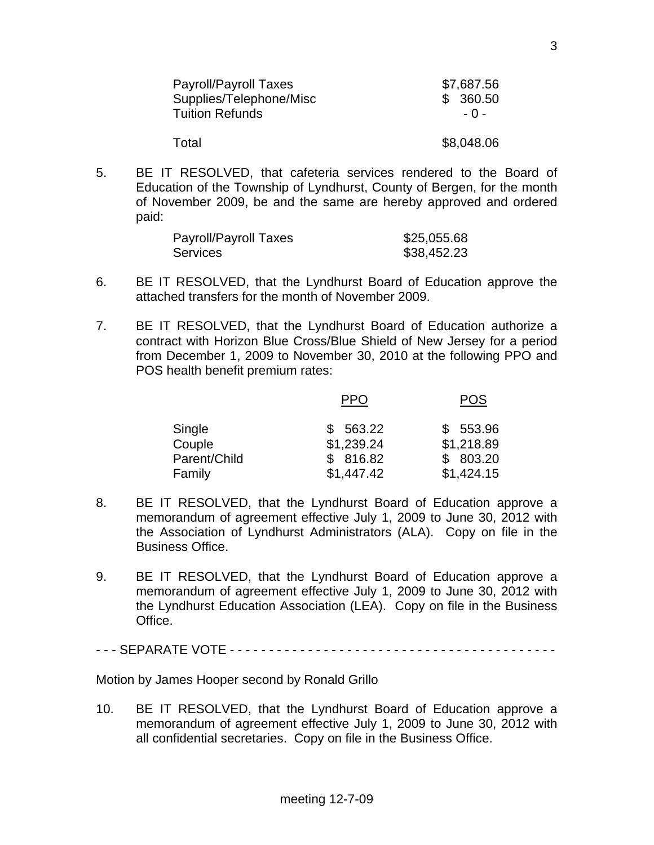| Payroll/Payroll Taxes   | \$7,687.56 |
|-------------------------|------------|
| Supplies/Telephone/Misc | \$360.50   |
| <b>Tuition Refunds</b>  | $-0-$      |
| Total                   | \$8,048.06 |

5. BE IT RESOLVED, that cafeteria services rendered to the Board of Education of the Township of Lyndhurst, County of Bergen, for the month of November 2009, be and the same are hereby approved and ordered paid:

| Payroll/Payroll Taxes | \$25,055.68 |
|-----------------------|-------------|
| <b>Services</b>       | \$38,452.23 |

- 6. BE IT RESOLVED, that the Lyndhurst Board of Education approve the attached transfers for the month of November 2009.
- 7. BE IT RESOLVED, that the Lyndhurst Board of Education authorize a contract with Horizon Blue Cross/Blue Shield of New Jersey for a period from December 1, 2009 to November 30, 2010 at the following PPO and POS health benefit premium rates:

|              | PPO        | POS        |
|--------------|------------|------------|
| Single       | \$563.22   | \$553.96   |
| Couple       | \$1,239.24 | \$1,218.89 |
| Parent/Child | \$816.82   | \$803.20   |
| Family       | \$1,447.42 | \$1,424.15 |

- 8. BE IT RESOLVED, that the Lyndhurst Board of Education approve a memorandum of agreement effective July 1, 2009 to June 30, 2012 with the Association of Lyndhurst Administrators (ALA). Copy on file in the Business Office.
- 9. BE IT RESOLVED, that the Lyndhurst Board of Education approve a memorandum of agreement effective July 1, 2009 to June 30, 2012 with the Lyndhurst Education Association (LEA). Copy on file in the Business Office.

- - - SEPARATE VOTE - - - - - - - - - - - - - - - - - - - - - - - - - - - - - - - - - - - - - - - - - -

Motion by James Hooper second by Ronald Grillo

10. BE IT RESOLVED, that the Lyndhurst Board of Education approve a memorandum of agreement effective July 1, 2009 to June 30, 2012 with all confidential secretaries. Copy on file in the Business Office.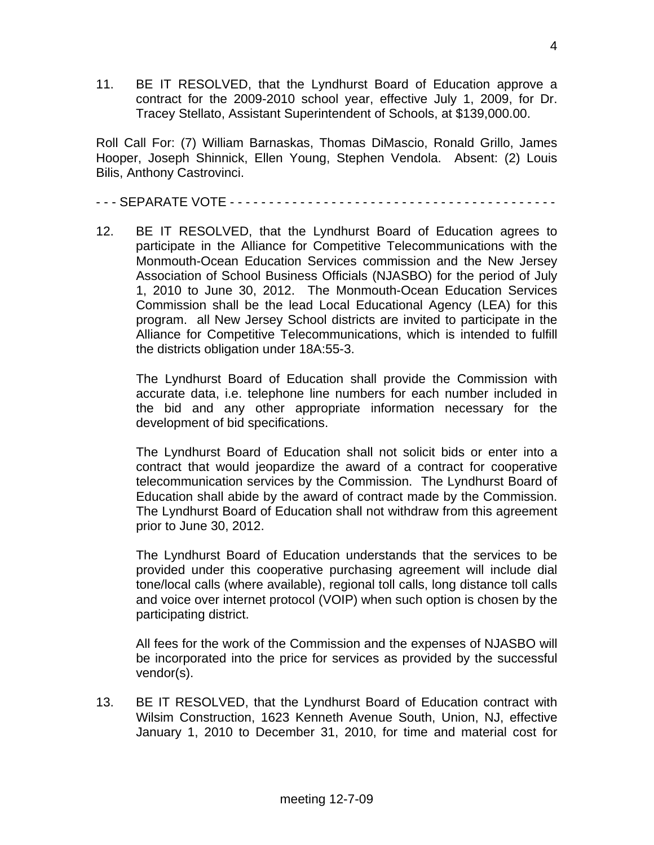11. BE IT RESOLVED, that the Lyndhurst Board of Education approve a contract for the 2009-2010 school year, effective July 1, 2009, for Dr. Tracey Stellato, Assistant Superintendent of Schools, at \$139,000.00.

Roll Call For: (7) William Barnaskas, Thomas DiMascio, Ronald Grillo, James Hooper, Joseph Shinnick, Ellen Young, Stephen Vendola. Absent: (2) Louis Bilis, Anthony Castrovinci.

- - - SEPARATE VOTE - - - - - - - - - - - - - - - - - - - - - - - - - - - - - - - - - - - - - - - - - -

12. BE IT RESOLVED, that the Lyndhurst Board of Education agrees to participate in the Alliance for Competitive Telecommunications with the Monmouth-Ocean Education Services commission and the New Jersey Association of School Business Officials (NJASBO) for the period of July 1, 2010 to June 30, 2012. The Monmouth-Ocean Education Services Commission shall be the lead Local Educational Agency (LEA) for this program. all New Jersey School districts are invited to participate in the Alliance for Competitive Telecommunications, which is intended to fulfill the districts obligation under 18A:55-3.

 The Lyndhurst Board of Education shall provide the Commission with accurate data, i.e. telephone line numbers for each number included in the bid and any other appropriate information necessary for the development of bid specifications.

 The Lyndhurst Board of Education shall not solicit bids or enter into a contract that would jeopardize the award of a contract for cooperative telecommunication services by the Commission. The Lyndhurst Board of Education shall abide by the award of contract made by the Commission. The Lyndhurst Board of Education shall not withdraw from this agreement prior to June 30, 2012.

 The Lyndhurst Board of Education understands that the services to be provided under this cooperative purchasing agreement will include dial tone/local calls (where available), regional toll calls, long distance toll calls and voice over internet protocol (VOIP) when such option is chosen by the participating district.

 All fees for the work of the Commission and the expenses of NJASBO will be incorporated into the price for services as provided by the successful vendor(s).

13. BE IT RESOLVED, that the Lyndhurst Board of Education contract with Wilsim Construction, 1623 Kenneth Avenue South, Union, NJ, effective January 1, 2010 to December 31, 2010, for time and material cost for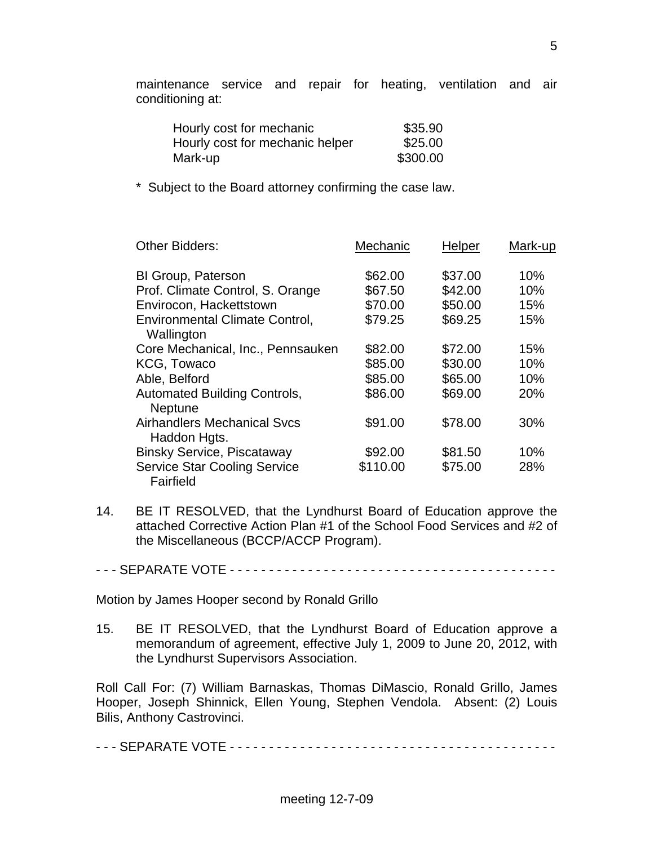maintenance service and repair for heating, ventilation and air conditioning at:

| Hourly cost for mechanic        | \$35.90  |
|---------------------------------|----------|
| Hourly cost for mechanic helper | \$25.00  |
| Mark-up                         | \$300.00 |

Subject to the Board attorney confirming the case law.

| <b>Other Bidders:</b>                                 | Mechanic | Helper  | Mark-up |
|-------------------------------------------------------|----------|---------|---------|
| BI Group, Paterson                                    | \$62.00  | \$37.00 | 10%     |
| Prof. Climate Control, S. Orange                      | \$67.50  | \$42.00 | 10%     |
| Envirocon, Hackettstown                               | \$70.00  | \$50.00 | 15%     |
| <b>Environmental Climate Control,</b><br>Wallington   | \$79.25  | \$69.25 | 15%     |
| Core Mechanical, Inc., Pennsauken                     | \$82.00  | \$72.00 | 15%     |
| KCG, Towaco                                           | \$85.00  | \$30.00 | 10%     |
| Able, Belford                                         | \$85.00  | \$65.00 | 10%     |
| <b>Automated Building Controls,</b><br><b>Neptune</b> | \$86.00  | \$69.00 | 20%     |
| <b>Airhandlers Mechanical Sycs</b><br>Haddon Hgts.    | \$91.00  | \$78.00 | 30%     |
| <b>Binsky Service, Piscataway</b>                     | \$92.00  | \$81.50 | 10%     |
| <b>Service Star Cooling Service</b><br>Fairfield      | \$110.00 | \$75.00 | 28%     |

14. BE IT RESOLVED, that the Lyndhurst Board of Education approve the attached Corrective Action Plan #1 of the School Food Services and #2 of the Miscellaneous (BCCP/ACCP Program).

- - - SEPARATE VOTE - - - - - - - - - - - - - - - - - - - - - - - - - - - - - - - - - - - - - - - - - -

Motion by James Hooper second by Ronald Grillo

15. BE IT RESOLVED, that the Lyndhurst Board of Education approve a memorandum of agreement, effective July 1, 2009 to June 20, 2012, with the Lyndhurst Supervisors Association.

Roll Call For: (7) William Barnaskas, Thomas DiMascio, Ronald Grillo, James Hooper, Joseph Shinnick, Ellen Young, Stephen Vendola. Absent: (2) Louis Bilis, Anthony Castrovinci.

- - - SEPARATE VOTE - - - - - - - - - - - - - - - - - - - - - - - - - - - - - - - - - - - - - - - - - -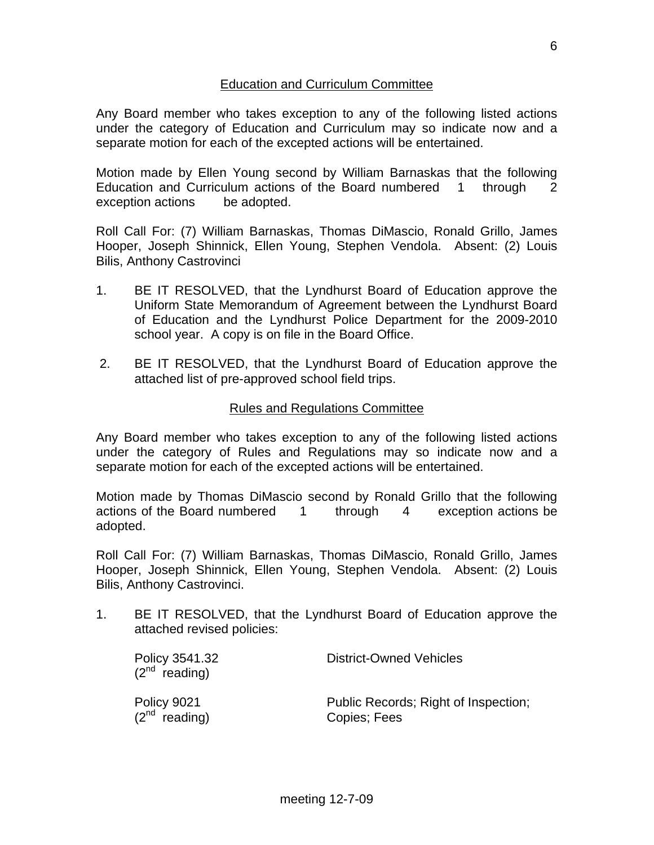## Education and Curriculum Committee

Any Board member who takes exception to any of the following listed actions under the category of Education and Curriculum may so indicate now and a separate motion for each of the excepted actions will be entertained.

Motion made by Ellen Young second by William Barnaskas that the following Education and Curriculum actions of the Board numbered 1 through 2 exception actions be adopted.

Roll Call For: (7) William Barnaskas, Thomas DiMascio, Ronald Grillo, James Hooper, Joseph Shinnick, Ellen Young, Stephen Vendola. Absent: (2) Louis Bilis, Anthony Castrovinci

- 1. BE IT RESOLVED, that the Lyndhurst Board of Education approve the Uniform State Memorandum of Agreement between the Lyndhurst Board of Education and the Lyndhurst Police Department for the 2009-2010 school year. A copy is on file in the Board Office.
- 2. BE IT RESOLVED, that the Lyndhurst Board of Education approve the attached list of pre-approved school field trips.

## Rules and Regulations Committee

Any Board member who takes exception to any of the following listed actions under the category of Rules and Regulations may so indicate now and a separate motion for each of the excepted actions will be entertained.

Motion made by Thomas DiMascio second by Ronald Grillo that the following actions of the Board numbered 1 through 4 exception actions be adopted.

Roll Call For: (7) William Barnaskas, Thomas DiMascio, Ronald Grillo, James Hooper, Joseph Shinnick, Ellen Young, Stephen Vendola. Absent: (2) Louis Bilis, Anthony Castrovinci.

1. BE IT RESOLVED, that the Lyndhurst Board of Education approve the attached revised policies:

| Policy 3541.32<br>$(2^{nd}$ reading) | <b>District-Owned Vehicles</b>       |  |
|--------------------------------------|--------------------------------------|--|
| Policy 9021                          | Public Records; Right of Inspection; |  |
| $(2^{nd}$ reading)                   | Copies; Fees                         |  |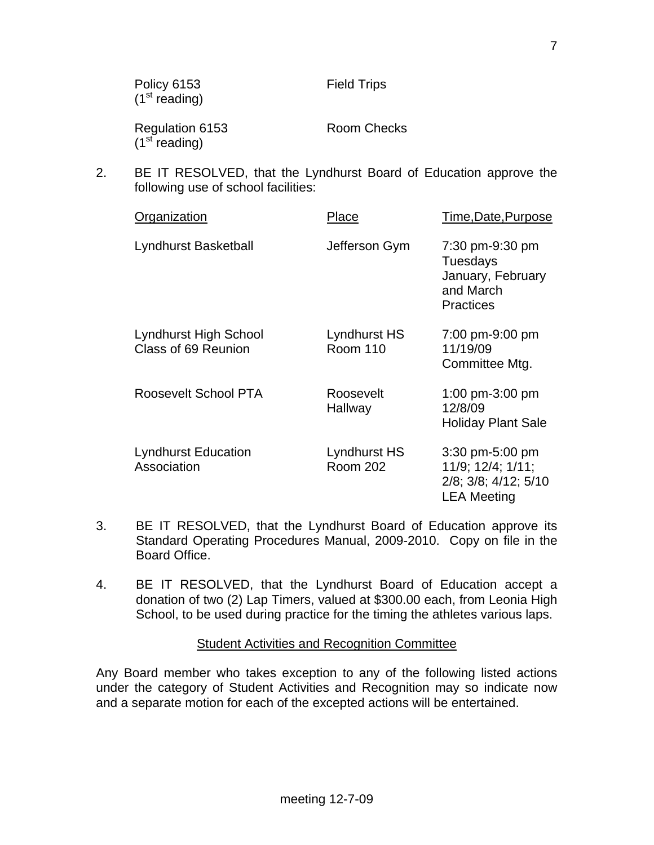| Policy 6153<br>(1 <sup>st</sup> reading)     | <b>Field Trips</b> |
|----------------------------------------------|--------------------|
| Regulation 6153<br>(1 <sup>st</sup> reading) | Room Checks        |

2. BE IT RESOLVED, that the Lyndhurst Board of Education approve the following use of school facilities:

| Organization                                 | Place                           | Time, Date, Purpose                                                                |
|----------------------------------------------|---------------------------------|------------------------------------------------------------------------------------|
| Lyndhurst Basketball                         | Jefferson Gym                   | 7:30 pm-9:30 pm<br>Tuesdays<br>January, February<br>and March<br><b>Practices</b>  |
| Lyndhurst High School<br>Class of 69 Reunion | Lyndhurst HS<br><b>Room 110</b> | 7:00 pm-9:00 pm<br>11/19/09<br>Committee Mtg.                                      |
| Roosevelt School PTA                         | Roosevelt<br>Hallway            | 1:00 pm-3:00 pm<br>12/8/09<br><b>Holiday Plant Sale</b>                            |
| <b>Lyndhurst Education</b><br>Association    | Lyndhurst HS<br><b>Room 202</b> | 3:30 pm-5:00 pm<br>11/9; 12/4; 1/11;<br>2/8; 3/8; 4/12; 5/10<br><b>LEA Meeting</b> |

- 3. BE IT RESOLVED, that the Lyndhurst Board of Education approve its Standard Operating Procedures Manual, 2009-2010. Copy on file in the Board Office.
- 4. BE IT RESOLVED, that the Lyndhurst Board of Education accept a donation of two (2) Lap Timers, valued at \$300.00 each, from Leonia High School, to be used during practice for the timing the athletes various laps.

#### Student Activities and Recognition Committee

Any Board member who takes exception to any of the following listed actions under the category of Student Activities and Recognition may so indicate now and a separate motion for each of the excepted actions will be entertained.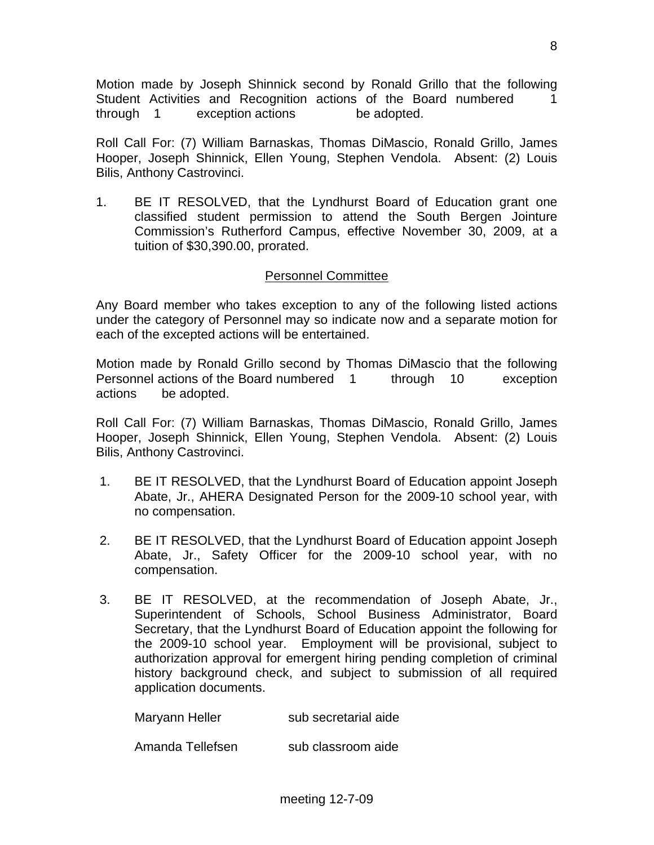Motion made by Joseph Shinnick second by Ronald Grillo that the following Student Activities and Recognition actions of the Board numbered 1 through 1 exception actions be adopted.

Roll Call For: (7) William Barnaskas, Thomas DiMascio, Ronald Grillo, James Hooper, Joseph Shinnick, Ellen Young, Stephen Vendola. Absent: (2) Louis Bilis, Anthony Castrovinci.

1. BE IT RESOLVED, that the Lyndhurst Board of Education grant one classified student permission to attend the South Bergen Jointure Commission's Rutherford Campus, effective November 30, 2009, at a tuition of \$30,390.00, prorated.

# Personnel Committee

Any Board member who takes exception to any of the following listed actions under the category of Personnel may so indicate now and a separate motion for each of the excepted actions will be entertained.

Motion made by Ronald Grillo second by Thomas DiMascio that the following Personnel actions of the Board numbered 1 through 10 exception actions be adopted.

Roll Call For: (7) William Barnaskas, Thomas DiMascio, Ronald Grillo, James Hooper, Joseph Shinnick, Ellen Young, Stephen Vendola. Absent: (2) Louis Bilis, Anthony Castrovinci.

- 1. BE IT RESOLVED, that the Lyndhurst Board of Education appoint Joseph Abate, Jr., AHERA Designated Person for the 2009-10 school year, with no compensation.
- 2. BE IT RESOLVED, that the Lyndhurst Board of Education appoint Joseph Abate, Jr., Safety Officer for the 2009-10 school year, with no compensation.
- 3. BE IT RESOLVED, at the recommendation of Joseph Abate, Jr., Superintendent of Schools, School Business Administrator, Board Secretary, that the Lyndhurst Board of Education appoint the following for the 2009-10 school year. Employment will be provisional, subject to authorization approval for emergent hiring pending completion of criminal history background check, and subject to submission of all required application documents.

Maryann Heller sub secretarial aide

Amanda Tellefsen sub classroom aide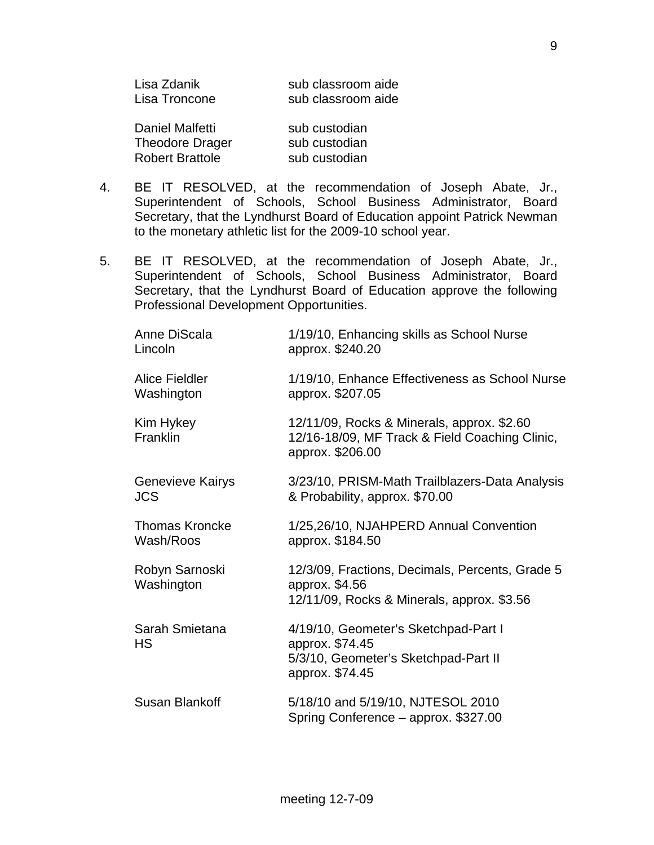| Lisa Zdanik<br>Lisa Troncone | sub classroom aide<br>sub classroom aide |
|------------------------------|------------------------------------------|
| Daniel Malfetti              | sub custodian                            |
| <b>Theodore Drager</b>       | sub custodian                            |
| <b>Robert Brattole</b>       | sub custodian                            |

- 4. BE IT RESOLVED, at the recommendation of Joseph Abate, Jr., Superintendent of Schools, School Business Administrator, Board Secretary, that the Lyndhurst Board of Education appoint Patrick Newman to the monetary athletic list for the 2009-10 school year.
- 5. BE IT RESOLVED, at the recommendation of Joseph Abate, Jr., Superintendent of Schools, School Business Administrator, Board Secretary, that the Lyndhurst Board of Education approve the following Professional Development Opportunities.

| Anne DiScala<br>Lincoln               | 1/19/10, Enhancing skills as School Nurse<br>approx. \$240.20                                                      |
|---------------------------------------|--------------------------------------------------------------------------------------------------------------------|
| <b>Alice Fieldler</b><br>Washington   | 1/19/10, Enhance Effectiveness as School Nurse<br>approx. \$207.05                                                 |
| Kim Hykey<br>Franklin                 | 12/11/09, Rocks & Minerals, approx. \$2.60<br>12/16-18/09, MF Track & Field Coaching Clinic,<br>approx. \$206.00   |
| <b>Genevieve Kairys</b><br><b>JCS</b> | 3/23/10, PRISM-Math Trailblazers-Data Analysis<br>& Probability, approx. \$70.00                                   |
| <b>Thomas Kroncke</b><br>Wash/Roos    | 1/25,26/10, NJAHPERD Annual Convention<br>approx. \$184.50                                                         |
| Robyn Sarnoski<br>Washington          | 12/3/09, Fractions, Decimals, Percents, Grade 5<br>approx. \$4.56<br>12/11/09, Rocks & Minerals, approx. \$3.56    |
| Sarah Smietana<br><b>HS</b>           | 4/19/10, Geometer's Sketchpad-Part I<br>approx. \$74.45<br>5/3/10, Geometer's Sketchpad-Part II<br>approx. \$74.45 |
| Susan Blankoff                        | 5/18/10 and 5/19/10, NJTESOL 2010<br>Spring Conference - approx. \$327.00                                          |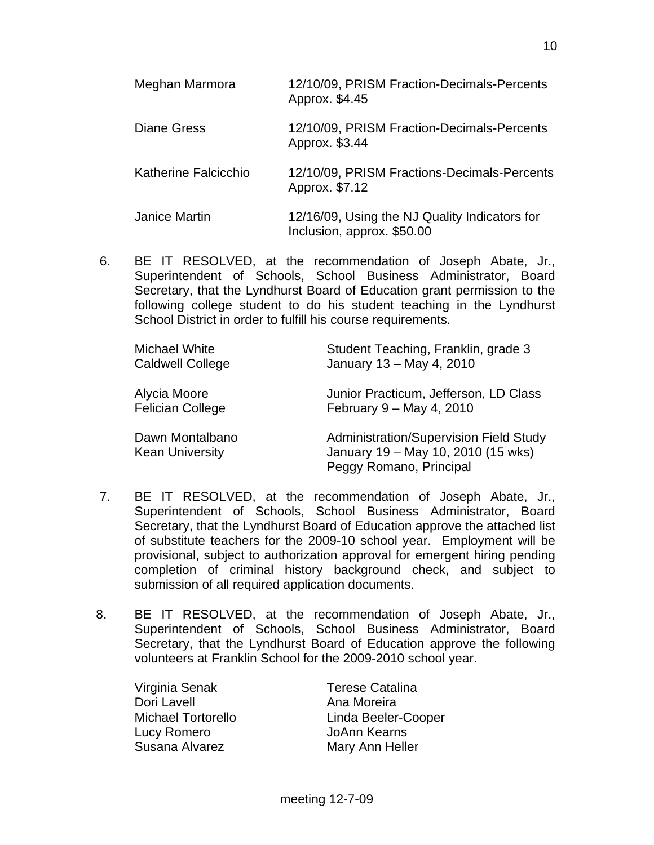| Meghan Marmora       | 12/10/09, PRISM Fraction-Decimals-Percents<br>Approx. \$4.45                |
|----------------------|-----------------------------------------------------------------------------|
| Diane Gress          | 12/10/09, PRISM Fraction-Decimals-Percents<br>Approx. \$3.44                |
| Katherine Falcicchio | 12/10/09, PRISM Fractions-Decimals-Percents<br>Approx. \$7.12               |
| <b>Janice Martin</b> | 12/16/09, Using the NJ Quality Indicators for<br>Inclusion, approx. \$50.00 |

 6. BE IT RESOLVED, at the recommendation of Joseph Abate, Jr., Superintendent of Schools, School Business Administrator, Board Secretary, that the Lyndhurst Board of Education grant permission to the following college student to do his student teaching in the Lyndhurst School District in order to fulfill his course requirements.

| Michael White<br><b>Caldwell College</b>  | Student Teaching, Franklin, grade 3<br>January 13 - May 4, 2010                                                |
|-------------------------------------------|----------------------------------------------------------------------------------------------------------------|
| Alycia Moore<br><b>Felician College</b>   | Junior Practicum, Jefferson, LD Class<br>February 9 - May 4, 2010                                              |
| Dawn Montalbano<br><b>Kean University</b> | <b>Administration/Supervision Field Study</b><br>January 19 - May 10, 2010 (15 wks)<br>Peggy Romano, Principal |

- 7. BE IT RESOLVED, at the recommendation of Joseph Abate, Jr., Superintendent of Schools, School Business Administrator, Board Secretary, that the Lyndhurst Board of Education approve the attached list of substitute teachers for the 2009-10 school year. Employment will be provisional, subject to authorization approval for emergent hiring pending completion of criminal history background check, and subject to submission of all required application documents.
- 8. BE IT RESOLVED, at the recommendation of Joseph Abate, Jr., Superintendent of Schools, School Business Administrator, Board Secretary, that the Lyndhurst Board of Education approve the following volunteers at Franklin School for the 2009-2010 school year.

 Virginia Senak Terese Catalina Dori Lavell **Ana Moreira**  Lucy Romero JoAnn Kearns Susana Alvarez Mary Ann Heller

Michael Tortorello Linda Beeler-Cooper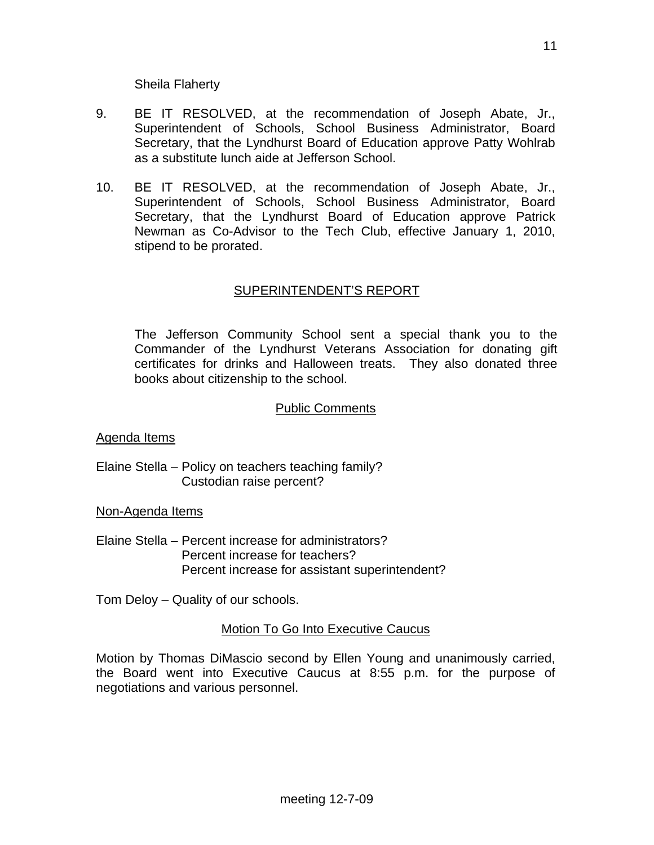- 9. BE IT RESOLVED, at the recommendation of Joseph Abate, Jr., Superintendent of Schools, School Business Administrator, Board Secretary, that the Lyndhurst Board of Education approve Patty Wohlrab as a substitute lunch aide at Jefferson School.
- 10. BE IT RESOLVED, at the recommendation of Joseph Abate, Jr., Superintendent of Schools, School Business Administrator, Board Secretary, that the Lyndhurst Board of Education approve Patrick Newman as Co-Advisor to the Tech Club, effective January 1, 2010, stipend to be prorated.

# SUPERINTENDENT'S REPORT

The Jefferson Community School sent a special thank you to the Commander of the Lyndhurst Veterans Association for donating gift certificates for drinks and Halloween treats. They also donated three books about citizenship to the school.

## Public Comments

Agenda Items

Elaine Stella – Policy on teachers teaching family? Custodian raise percent?

Non-Agenda Items

Elaine Stella – Percent increase for administrators? Percent increase for teachers? Percent increase for assistant superintendent?

Tom Deloy – Quality of our schools.

Motion To Go Into Executive Caucus

Motion by Thomas DiMascio second by Ellen Young and unanimously carried, the Board went into Executive Caucus at 8:55 p.m. for the purpose of negotiations and various personnel.